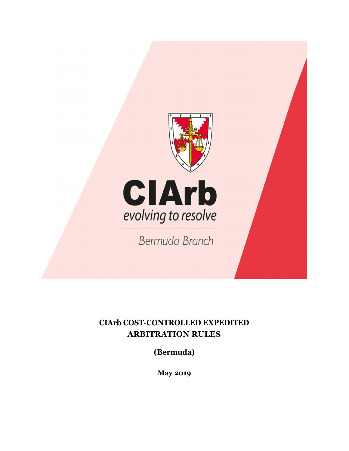

# **CIArb COST-CONTROLLED EXPEDITED ARBITRATION RULES**

**(Bermuda)**

**May 2019**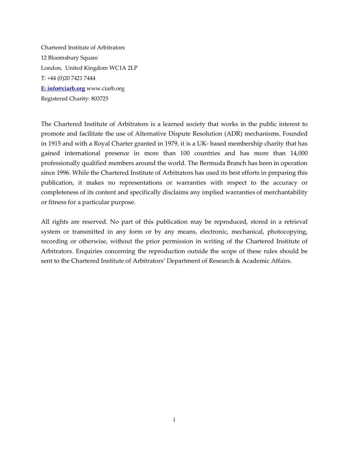Chartered Institute of Arbitrators 12 Bloomsbury Square London, United Kingdom WC1A 2LP T: +44 (0)20 7421 7444 **E: info@ciarb.org** www.ciarb.org Registered Charity: 803725

The Chartered Institute of Arbitrators is a learned society that works in the public interest to promote and facilitate the use of Alternative Dispute Resolution (ADR) mechanisms. Founded in 1915 and with a Royal Charter granted in 1979, it is a UK-based membership charity that has gained international presence in more than 100 countries and has more than 14,000 professionally qualified members around the world. The Bermuda Branch has been in operation since 1996. While the Chartered Institute of Arbitrators has used its best efforts in preparing this publication, it makes no representations or warranties with respect to the accuracy or completeness of its content and specifically disclaims any implied warranties of merchantability or fitness for a particular purpose.

All rights are reserved. No part of this publication may be reproduced, stored in a retrieval system or transmitted in any form or by any means, electronic, mechanical, photocopying, recording or otherwise, without the prior permission in writing of the Chartered Institute of Arbitrators. Enquiries concerning the reproduction outside the scope of these rules should be sent to the Chartered Institute of Arbitrators' Department of Research & Academic Affairs.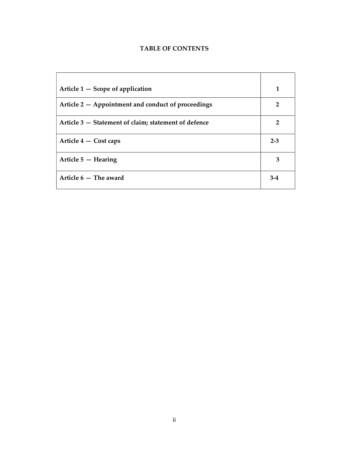## **TABLE OF CONTENTS**

| Article $1 -$ Scope of application                   | 1              |
|------------------------------------------------------|----------------|
| Article 2 – Appointment and conduct of proceedings   | $\overline{2}$ |
| Article 3 – Statement of claim; statement of defence | $\overline{2}$ |
| Article 4 – Cost caps                                | $2 - 3$        |
| Article $5$ $-$ Hearing                              | 3              |
| Article $6-$ The award                               | $3-4$          |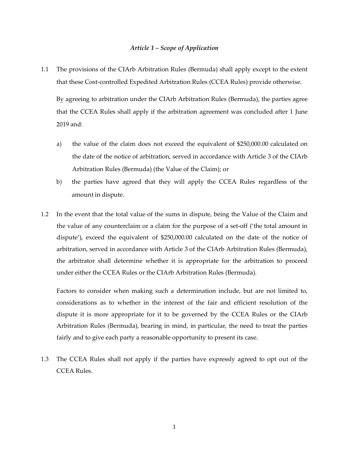#### *Article 1 – Scope of Application*

1.1 The provisions of the CIArb Arbitration Rules (Bermuda) shall apply except to the extent that these Cost-controlled Expedited Arbitration Rules (CCEA Rules) provide otherwise.

By agreeing to arbitration under the CIArb Arbitration Rules (Bermuda), the parties agree that the CCEA Rules shall apply if the arbitration agreement was concluded after 1 June 2019 and:

- a) the value of the claim does not exceed the equivalent of \$250,000.00 calculated on the date of the notice of arbitration, served in accordance with Article 3 of the CIArb Arbitration Rules (Bermuda) (the Value of the Claim); or
- b) the parties have agreed that they will apply the CCEA Rules regardless of the amount in dispute.
- 1.2 In the event that the total value of the sums in dispute, being the Value of the Claim and the value of any counterclaim or a claim for the purpose of a set-off ('the total amount in dispute'), exceed the equivalent of \$250,000.00 calculated on the date of the notice of arbitration, served in accordance with Article 3 of the CIArb Arbitration Rules (Bermuda), the arbitrator shall determine whether it is appropriate for the arbitration to proceed under either the CCEA Rules or the CIArb Arbitration Rules (Bermuda).

Factors to consider when making such a determination include, but are not limited to, considerations as to whether in the interest of the fair and efficient resolution of the dispute it is more appropriate for it to be governed by the CCEA Rules or the CIArb Arbitration Rules (Bermuda), bearing in mind, in particular, the need to treat the parties fairly and to give each party a reasonable opportunity to present its case.

1.3 The CCEA Rules shall not apply if the parties have expressly agreed to opt out of the CCEA Rules.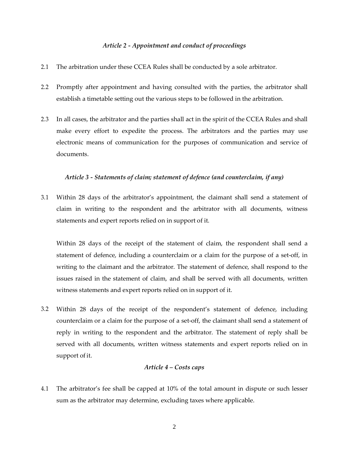#### *Article 2 Appointment and conduct of proceedings*

- 2.1 The arbitration under these CCEA Rules shall be conducted by a sole arbitrator.
- 2.2 Promptly after appointment and having consulted with the parties, the arbitrator shall establish a timetable setting out the various steps to be followed in the arbitration.
- 2.3 In all cases, the arbitrator and the parties shall act in the spirit of the CCEA Rules and shall make every effort to expedite the process. The arbitrators and the parties may use electronic means of communication for the purposes of communication and service of documents.

#### *Article 3 Statements of claim; statement of defence (and counterclaim, if any)*

3.1 Within 28 days of the arbitrator's appointment, the claimant shall send a statement of claim in writing to the respondent and the arbitrator with all documents, witness statements and expert reports relied on in support of it.

Within 28 days of the receipt of the statement of claim, the respondent shall send a statement of defence, including a counterclaim or a claim for the purpose of a setoff, in writing to the claimant and the arbitrator. The statement of defence, shall respond to the issues raised in the statement of claim, and shall be served with all documents, written witness statements and expert reports relied on in support of it.

3.2 Within 28 days of the receipt of the respondent's statement of defence, including counterclaim or a claim for the purpose of a set-off, the claimant shall send a statement of reply in writing to the respondent and the arbitrator. The statement of reply shall be served with all documents, written witness statements and expert reports relied on in support of it.

#### *Article 4 – Costs caps*

4.1 The arbitrator's fee shall be capped at 10% of the total amount in dispute or such lesser sum as the arbitrator may determine, excluding taxes where applicable.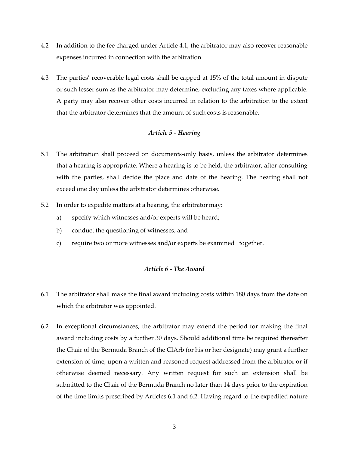- 4.2 In addition to the fee charged under Article 4.1, the arbitrator may also recover reasonable expenses incurred in connection with the arbitration.
- 4.3 The parties' recoverable legal costs shall be capped at 15% of the total amount in dispute or such lesser sum as the arbitrator may determine, excluding any taxes where applicable. A party may also recover other costs incurred in relation to the arbitration to the extent that the arbitrator determines that the amount of such costs is reasonable.

### *Article 5 Hearing*

- 5.1 The arbitration shall proceed on documents-only basis, unless the arbitrator determines that a hearing is appropriate. Where a hearing is to be held, the arbitrator, after consulting with the parties, shall decide the place and date of the hearing. The hearing shall not exceed one day unless the arbitrator determines otherwise.
- 5.2 In order to expedite matters at a hearing, the arbitrator may:
	- a) specify which witnesses and/or experts will be heard;
	- b) conduct the questioning of witnesses; and
	- c) require two or more witnesses and/or experts be examined together.

#### *Article 6 The Award*

- 6.1 The arbitrator shall make the final award including costs within 180 days from the date on which the arbitrator was appointed.
- 6.2 In exceptional circumstances, the arbitrator may extend the period for making the final award including costs by a further 30 days. Should additional time be required thereafter the Chair of the Bermuda Branch of the CIArb (or his or her designate) may grant a further extension of time, upon a written and reasoned request addressed from the arbitrator or if otherwise deemed necessary. Any written request for such an extension shall be submitted to the Chair of the Bermuda Branch no later than 14 days prior to the expiration of the time limits prescribed by Articles 6.1 and 6.2. Having regard to the expedited nature